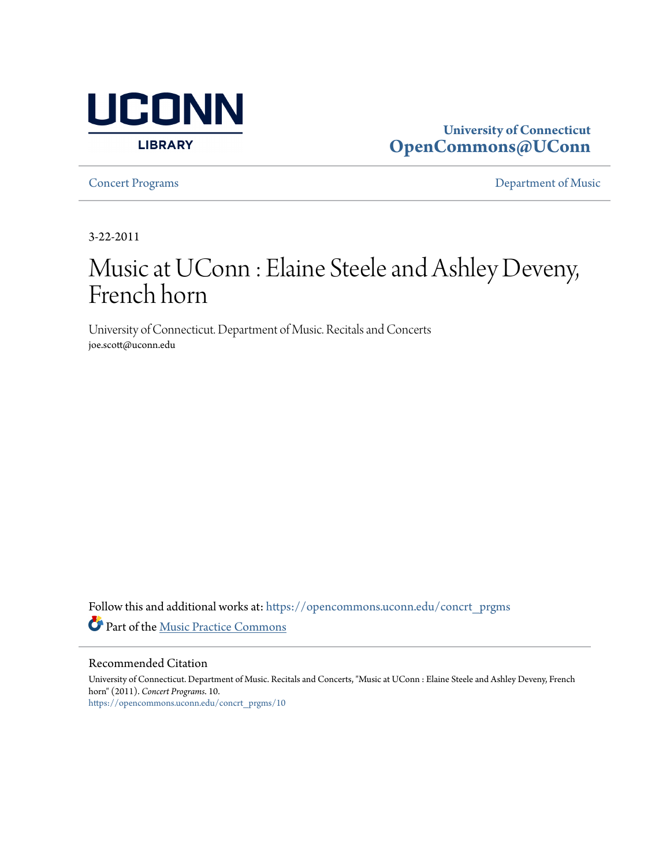

## **University of Connecticut [OpenCommons@UConn](https://opencommons.uconn.edu?utm_source=opencommons.uconn.edu%2Fconcrt_prgms%2F10&utm_medium=PDF&utm_campaign=PDFCoverPages)**

**[Concert Programs](https://opencommons.uconn.edu/concrt_prgms?utm_source=opencommons.uconn.edu%2Fconcrt_prgms%2F10&utm_medium=PDF&utm_campaign=PDFCoverPages) [Department of Music](https://opencommons.uconn.edu/music?utm_source=opencommons.uconn.edu%2Fconcrt_prgms%2F10&utm_medium=PDF&utm_campaign=PDFCoverPages)** 

3-22-2011

## Music at UConn : Elaine Steele and Ashley Deveny, French horn

University of Connecticut. Department of Music. Recitals and Concerts joe.scott@uconn.edu

Follow this and additional works at: [https://opencommons.uconn.edu/concrt\\_prgms](https://opencommons.uconn.edu/concrt_prgms?utm_source=opencommons.uconn.edu%2Fconcrt_prgms%2F10&utm_medium=PDF&utm_campaign=PDFCoverPages) Part of the [Music Practice Commons](http://network.bepress.com/hgg/discipline/523?utm_source=opencommons.uconn.edu%2Fconcrt_prgms%2F10&utm_medium=PDF&utm_campaign=PDFCoverPages)

Recommended Citation

University of Connecticut. Department of Music. Recitals and Concerts, "Music at UConn : Elaine Steele and Ashley Deveny, French horn" (2011). *Concert Programs*. 10. [https://opencommons.uconn.edu/concrt\\_prgms/10](https://opencommons.uconn.edu/concrt_prgms/10?utm_source=opencommons.uconn.edu%2Fconcrt_prgms%2F10&utm_medium=PDF&utm_campaign=PDFCoverPages)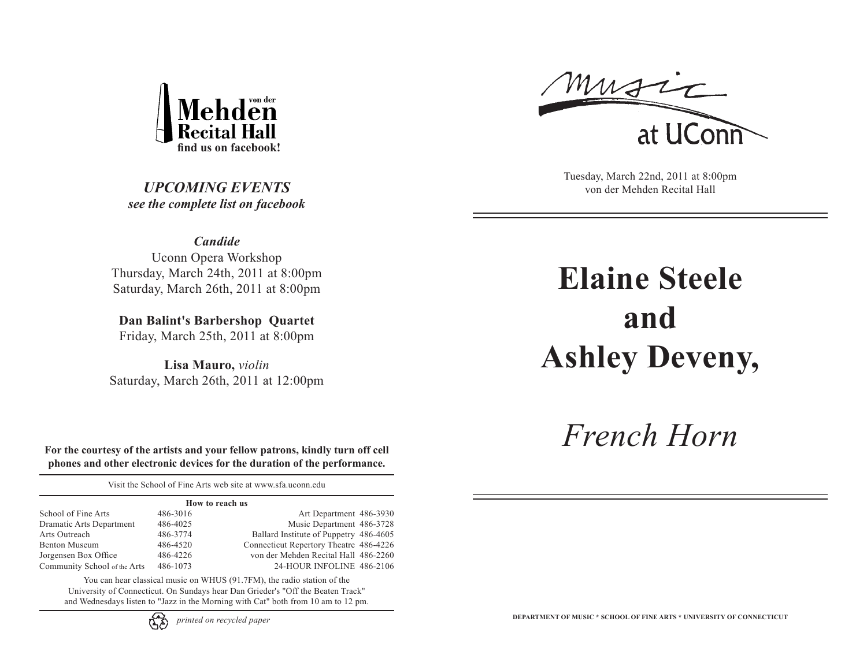

*UPCOMING EVENTS see the complete list on facebook*

music at UConr

Tuesday, March 22nd, 2011 at 8:00pm von der Mehden Recital Hall

*Candide* Uconn Opera Workshop Thursday, March 24th, 2011 at 8:00pm Saturday, March 26th, 2011 at 8:00pm

**Dan Balint's Barbershop Quartet** Friday, March 25th, 2011 at 8:00pm

**Lisa Mauro,** *violin* Saturday, March 26th, 2011 at 12:00pm

**Elaine Steele and Ashley Deveny,**

*French Horn*

**For the courtesy of the artists and your fellow patrons, kindly turn off cell phones and other electronic devices for the duration of the performance.**

Visit the School of Fine Arts web site at www.sfa.uconn.edu

| How to reach us |                                        |  |  |  |
|-----------------|----------------------------------------|--|--|--|
| 486-3016        | Art Department 486-3930                |  |  |  |
| 486-4025        | Music Department 486-3728              |  |  |  |
| 486-3774        | Ballard Institute of Puppetry 486-4605 |  |  |  |
| 486-4520        | Connecticut Repertory Theatre 486-4226 |  |  |  |
| 486-4226        | von der Mehden Recital Hall 486-2260   |  |  |  |
| 486-1073        | 24-HOUR INFOLINE 486-2106              |  |  |  |
|                 |                                        |  |  |  |

You can hear classical music on WHUS (91.7FM), the radio station of the University of Connecticut. On Sundays hear Dan Grieder's "Off the Beaten Track" and Wednesdays listen to "Jazz in the Morning with Cat" both from 10 am to 12 pm.